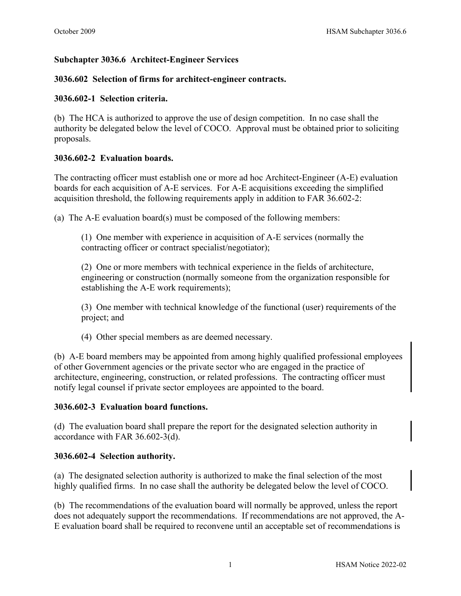# **Subchapter 3036.6 Architect-Engineer Services**

## **3036.602 Selection of firms for architect-engineer contracts.**

## **3036.602-1 Selection criteria.**

(b) The HCA is authorized to approve the use of design competition. In no case shall the authority be delegated below the level of COCO. Approval must be obtained prior to soliciting proposals.

# **3036.602-2 Evaluation boards.**

The contracting officer must establish one or more ad hoc Architect-Engineer (A-E) evaluation boards for each acquisition of A-E services. For A-E acquisitions exceeding the simplified acquisition threshold, the following requirements apply in addition to FAR 36.602-2:

(a) The A-E evaluation board(s) must be composed of the following members:

(1) One member with experience in acquisition of A-E services (normally the contracting officer or contract specialist/negotiator);

(2) One or more members with technical experience in the fields of architecture, engineering or construction (normally someone from the organization responsible for establishing the A-E work requirements);

(3) One member with technical knowledge of the functional (user) requirements of the project; and

(4) Other special members as are deemed necessary.

(b) A-E board members may be appointed from among highly qualified professional employees of other Government agencies or the private sector who are engaged in the practice of architecture, engineering, construction, or related professions. The contracting officer must notify legal counsel if private sector employees are appointed to the board.

## **3036.602-3 Evaluation board functions.**

(d) The evaluation board shall prepare the report for the designated selection authority in accordance with FAR 36.602-3(d).

## **3036.602-4 Selection authority.**

(a) The designated selection authority is authorized to make the final selection of the most highly qualified firms. In no case shall the authority be delegated below the level of COCO.

(b) The recommendations of the evaluation board will normally be approved, unless the report does not adequately support the recommendations. If recommendations are not approved, the A-E evaluation board shall be required to reconvene until an acceptable set of recommendations is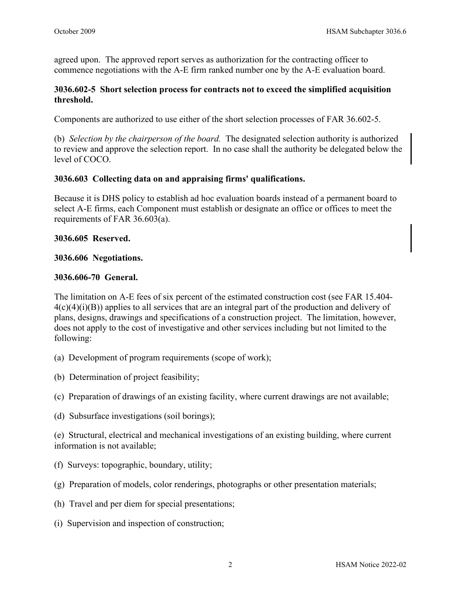agreed upon. The approved report serves as authorization for the contracting officer to commence negotiations with the A-E firm ranked number one by the A-E evaluation board.

### **3036.602-5 Short selection process for contracts not to exceed the simplified acquisition threshold.**

Components are authorized to use either of the short selection processes of FAR 36.602-5.

(b) *Selection by the chairperson of the board.* The designated selection authority is authorized to review and approve the selection report. In no case shall the authority be delegated below the level of COCO.

### **3036.603 Collecting data on and appraising firms' qualifications.**

Because it is DHS policy to establish ad hoc evaluation boards instead of a permanent board to select A-E firms, each Component must establish or designate an office or offices to meet the requirements of FAR 36.603(a).

#### **3036.605 Reserved.**

#### **3036.606 Negotiations.**

#### **3036.606-70 General.**

The limitation on A-E fees of six percent of the estimated construction cost (see FAR 15.404-  $4(c)(4)(i)(B)$  applies to all services that are an integral part of the production and delivery of plans, designs, drawings and specifications of a construction project. The limitation, however, does not apply to the cost of investigative and other services including but not limited to the following:

- (a) Development of program requirements (scope of work);
- (b) Determination of project feasibility;
- (c) Preparation of drawings of an existing facility, where current drawings are not available;
- (d) Subsurface investigations (soil borings);

(e) Structural, electrical and mechanical investigations of an existing building, where current information is not available;

- (f) Surveys: topographic, boundary, utility;
- (g) Preparation of models, color renderings, photographs or other presentation materials;
- (h) Travel and per diem for special presentations;
- (i) Supervision and inspection of construction;